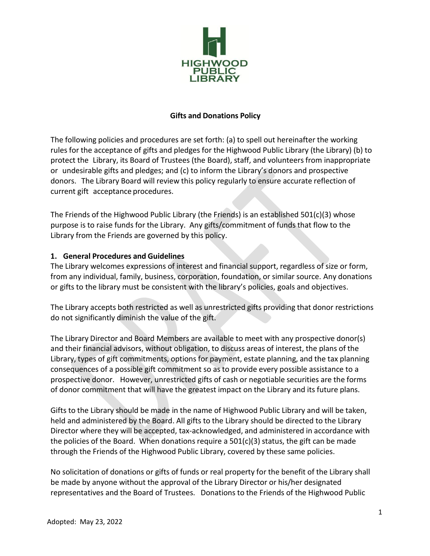

#### **Gifts and Donations Policy**

The following policies and procedures are set forth: (a) to spell out hereinafter the working rules for the acceptance of gifts and pledges for the Highwood Public Library (the Library) (b) to protect the Library, its Board of Trustees (the Board), staff, and volunteers from inappropriate or undesirable gifts and pledges; and (c) to inform the Library's donors and prospective donors. The Library Board will review this policy regularly to ensure accurate reflection of current gift acceptance procedures.

The Friends of the Highwood Public Library (the Friends) is an established  $501(c)(3)$  whose purpose is to raise funds for the Library. Any gifts/commitment of funds that flow to the Library from the Friends are governed by this policy.

#### **1. General Procedures and Guidelines**

The Library welcomes expressions of interest and financial support, regardless of size or form, from any individual, family, business, corporation, foundation, or similar source. Any donations or gifts to the library must be consistent with the library's policies, goals and objectives.

The Library accepts both restricted as well as unrestricted gifts providing that donor restrictions do not significantly diminish the value of the gift.

The Library Director and Board Members are available to meet with any prospective donor(s) and their financial advisors, without obligation, to discuss areas of interest, the plans of the Library, types of gift commitments, options for payment, estate planning, and the tax planning consequences of a possible gift commitment so as to provide every possible assistance to a prospective donor. However, unrestricted gifts of cash or negotiable securities are the forms of donor commitment that will have the greatest impact on the Library and its future plans.

Gifts to the Library should be made in the name of Highwood Public Library and will be taken, held and administered by the Board. All gifts to the Library should be directed to the Library Director where they will be accepted, tax-acknowledged, and administered in accordance with the policies of the Board. When donations require a  $501(c)(3)$  status, the gift can be made through the Friends of the Highwood Public Library, covered by these same policies.

No solicitation of donations or gifts of funds or real property for the benefit of the Library shall be made by anyone without the approval of the Library Director or his/her designated representatives and the Board of Trustees. Donations to the Friends of the Highwood Public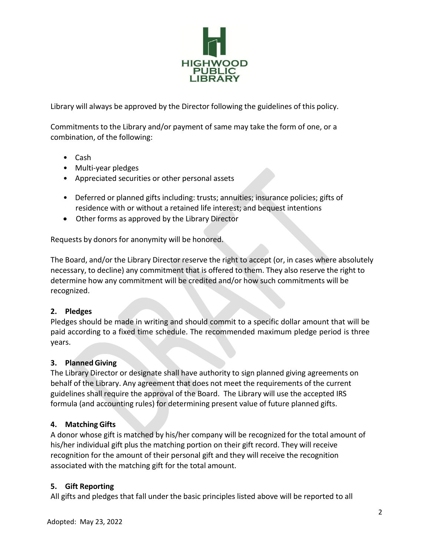

Library will always be approved by the Director following the guidelines of this policy.

Commitments to the Library and/or payment of same may take the form of one, or a combination, of the following:

- Cash
- Multi-year pledges
- Appreciated securities or other personal assets
- Deferred or planned gifts including: trusts; annuities; insurance policies; gifts of residence with or without a retained life interest; and bequest intentions
- Other forms as approved by the Library Director

Requests by donors for anonymity will be honored.

The Board, and/or the Library Director reserve the right to accept (or, in cases where absolutely necessary, to decline) any commitment that is offered to them. They also reserve the right to determine how any commitment will be credited and/or how such commitments will be recognized.

#### **2. Pledges**

Pledges should be made in writing and should commit to a specific dollar amount that will be paid according to a fixed time schedule. The recommended maximum pledge period is three years.

#### **3. Planned Giving**

The Library Director or designate shall have authority to sign planned giving agreements on behalf of the Library. Any agreement that does not meet the requirements of the current guidelines shall require the approval of the Board. The Library will use the accepted IRS formula (and accounting rules) for determining present value of future planned gifts.

## **4. Matching Gifts**

A donor whose gift is matched by his/her company will be recognized for the total amount of his/her individual gift plus the matching portion on their gift record. They will receive recognition for the amount of their personal gift and they will receive the recognition associated with the matching gift for the total amount.

#### **5. Gift Reporting**

All gifts and pledges that fall under the basic principles listed above will be reported to all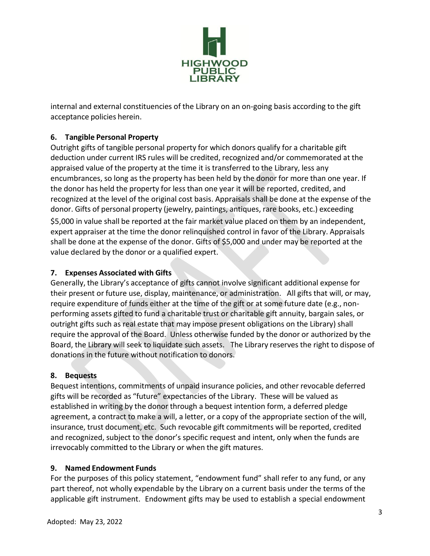

internal and external constituencies of the Library on an on-going basis according to the gift acceptance policies herein.

# **6. Tangible Personal Property**

Outright gifts of tangible personal property for which donors qualify for a charitable gift deduction under current IRS rules will be credited, recognized and/or commemorated at the appraised value of the property at the time it is transferred to the Library, less any encumbrances, so long as the property has been held by the donor for more than one year. If the donor has held the property for less than one year it will be reported, credited, and recognized at the level of the original cost basis. Appraisals shall be done at the expense of the donor. Gifts of personal property (jewelry, paintings, antiques, rare books, etc.) exceeding \$5,000 in value shall be reported at the fair market value placed on them by an independent, expert appraiser at the time the donor relinquished control in favor of the Library. Appraisals shall be done at the expense of the donor. Gifts of \$5,000 and under may be reported at the value declared by the donor or a qualified expert.

## **7. Expenses Associated with Gifts**

Generally, the Library's acceptance of gifts cannot involve significant additional expense for their present or future use, display, maintenance, or administration. All gifts that will, or may, require expenditure of funds either at the time of the gift or at some future date (e.g., nonperforming assets gifted to fund a charitable trust or charitable gift annuity, bargain sales, or outright gifts such as real estate that may impose present obligations on the Library) shall require the approval of the Board. Unless otherwise funded by the donor or authorized by the Board, the Library will seek to liquidate such assets. The Library reserves the right to dispose of donations in the future without notification to donors.

## **8. Bequests**

Bequest intentions, commitments of unpaid insurance policies, and other revocable deferred gifts will be recorded as "future" expectancies of the Library. These will be valued as established in writing by the donor through a bequest intention form, a deferred pledge agreement, a contract to make a will, a letter, or a copy of the appropriate section of the will, insurance, trust document, etc. Such revocable gift commitments will be reported, credited and recognized, subject to the donor's specific request and intent, only when the funds are irrevocably committed to the Library or when the gift matures.

## **9. Named Endowment Funds**

For the purposes of this policy statement, "endowment fund" shall refer to any fund, or any part thereof, not wholly expendable by the Library on a current basis under the terms of the applicable gift instrument. Endowment gifts may be used to establish a special endowment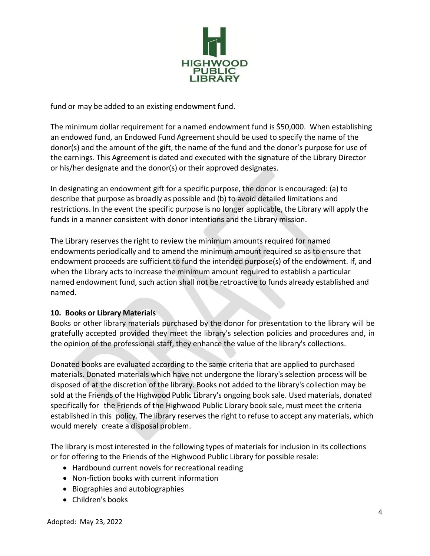

fund or may be added to an existing endowment fund.

The minimum dollar requirement for a named endowment fund is \$50,000. When establishing an endowed fund, an Endowed Fund Agreement should be used to specify the name of the donor(s) and the amount of the gift, the name of the fund and the donor's purpose for use of the earnings. This Agreement is dated and executed with the signature of the Library Director or his/her designate and the donor(s) or their approved designates.

In designating an endowment gift for a specific purpose, the donor is encouraged: (a) to describe that purpose as broadly as possible and (b) to avoid detailed limitations and restrictions. In the event the specific purpose is no longer applicable, the Library will apply the funds in a manner consistent with donor intentions and the Library mission.

The Library reserves the right to review the minimum amounts required for named endowments periodically and to amend the minimum amount required so as to ensure that endowment proceeds are sufficient to fund the intended purpose(s) of the endowment. If, and when the Library acts to increase the minimum amount required to establish a particular named endowment fund, such action shall not be retroactive to funds already established and named.

## **10. Books or Library Materials**

Books or other library materials purchased by the donor for presentation to the library will be gratefully accepted provided they meet the library's selection policies and procedures and, in the opinion of the professional staff, they enhance the value of the library's collections.

Donated books are evaluated according to the same criteria that are applied to purchased materials. Donated materials which have not undergone the library's selection process will be disposed of at the discretion of the library. Books not added to the library's collection may be sold at the Friends of the Highwood Public Library's ongoing book sale. Used materials, donated specifically for the Friends of the Highwood Public Library book sale, must meet the criteria established in this policy. The library reserves the right to refuse to accept any materials, which would merely create a disposal problem.

The library is most interested in the following types of materials for inclusion in its collections or for offering to the Friends of the Highwood Public Library for possible resale:

- Hardbound current novels for recreational reading
- Non-fiction books with current information
- Biographies and autobiographies
- Children's books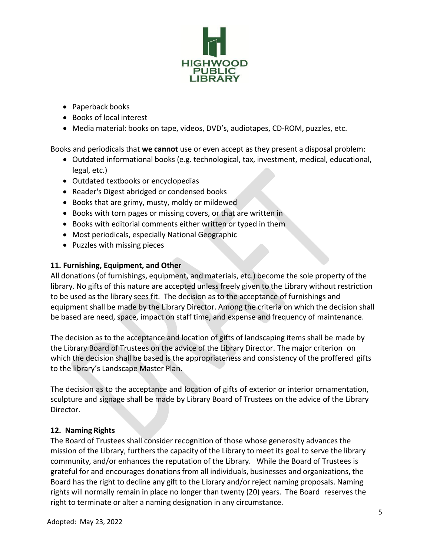

- Paperback books
- Books of local interest
- Media material: books on tape, videos, DVD's, audiotapes, CD-ROM, puzzles, etc.

Books and periodicals that **we cannot** use or even accept as they present a disposal problem:

- Outdated informational books (e.g. technological, tax, investment, medical, educational, legal, etc.)
- Outdated textbooks or encyclopedias
- Reader's Digest abridged or condensed books
- Books that are grimy, musty, moldy or mildewed
- Books with torn pages or missing covers, or that are written in
- Books with editorial comments either written or typed in them
- Most periodicals, especially National Geographic
- Puzzles with missing pieces

## **11. Furnishing, Equipment, and Other**

All donations (of furnishings, equipment, and materials, etc.) become the sole property of the library. No gifts of this nature are accepted unless freely given to the Library without restriction to be used as the library sees fit. The decision as to the acceptance of furnishings and equipment shall be made by the Library Director. Among the criteria on which the decision shall be based are need, space, impact on staff time, and expense and frequency of maintenance.

The decision as to the acceptance and location of gifts of landscaping items shall be made by the Library Board of Trustees on the advice of the Library Director. The major criterion on which the decision shall be based is the appropriateness and consistency of the proffered gifts to the library's Landscape Master Plan.

The decision as to the acceptance and location of gifts of exterior or interior ornamentation, sculpture and signage shall be made by Library Board of Trustees on the advice of the Library Director.

## **12. Naming Rights**

The Board of Trustees shall consider recognition of those whose generosity advances the mission of the Library, furthers the capacity of the Library to meet its goal to serve the library community, and/or enhances the reputation of the Library. While the Board of Trustees is grateful for and encourages donations from all individuals, businesses and organizations, the Board has the right to decline any gift to the Library and/or reject naming proposals. Naming rights will normally remain in place no longer than twenty (20) years. The Board reserves the right to terminate or alter a naming designation in any circumstance.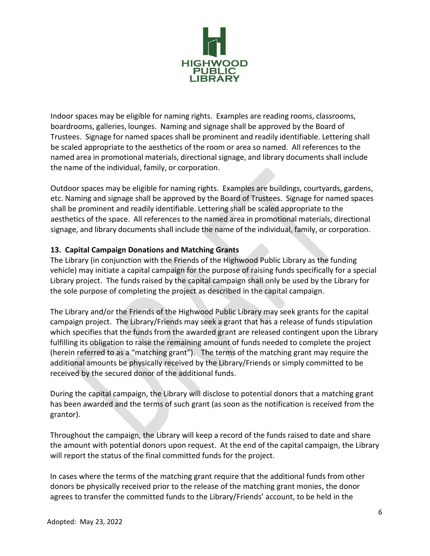

Indoor spaces may be eligible for naming rights. Examples are reading rooms, classrooms, boardrooms, galleries, lounges. Naming and signage shall be approved by the Board of Trustees. Signage for named spaces shall be prominent and readily identifiable. Lettering shall be scaled appropriate to the aesthetics of the room or area so named. All references to the named area in promotional materials, directional signage, and library documents shall include the name of the individual, family, or corporation.

Outdoor spaces may be eligible for naming rights. Examples are buildings, courtyards, gardens, etc. Naming and signage shall be approved by the Board of Trustees. Signage for named spaces shall be prominent and readily identifiable. Lettering shall be scaled appropriate to the aesthetics of the space. All references to the named area in promotional materials, directional signage, and library documents shall include the name of the individual, family, or corporation.

#### **13. Capital Campaign Donations and Matching Grants**

The Library (in conjunction with the Friends of the Highwood Public Library as the funding vehicle) may initiate a capital campaign for the purpose of raising funds specifically for a special Library project. The funds raised by the capital campaign shall only be used by the Library for the sole purpose of completing the project as described in the capital campaign.

The Library and/or the Friends of the Highwood Public Library may seek grants for the capital campaign project. The Library/Friends may seek a grant that has a release of funds stipulation which specifies that the funds from the awarded grant are released contingent upon the Library fulfilling its obligation to raise the remaining amount of funds needed to complete the project (herein referred to as a "matching grant"). The terms of the matching grant may require the additional amounts be physically received by the Library/Friends or simply committed to be received by the secured donor of the additional funds.

During the capital campaign, the Library will disclose to potential donors that a matching grant has been awarded and the terms of such grant (as soon as the notification is received from the grantor).

Throughout the campaign, the Library will keep a record of the funds raised to date and share the amount with potential donors upon request. At the end of the capital campaign, the Library will report the status of the final committed funds for the project.

In cases where the terms of the matching grant require that the additional funds from other donors be physically received prior to the release of the matching grant monies, the donor agrees to transfer the committed funds to the Library/Friends' account, to be held in the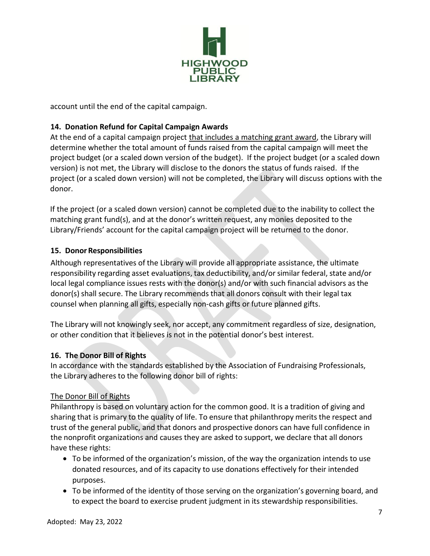

account until the end of the capital campaign.

## **14. Donation Refund for Capital Campaign Awards**

At the end of a capital campaign project that includes a matching grant award, the Library will determine whether the total amount of funds raised from the capital campaign will meet the project budget (or a scaled down version of the budget). If the project budget (or a scaled down version) is not met, the Library will disclose to the donors the status of funds raised. If the project (or a scaled down version) will not be completed, the Library will discuss options with the donor.

If the project (or a scaled down version) cannot be completed due to the inability to collect the matching grant fund(s), and at the donor's written request, any monies deposited to the Library/Friends' account for the capital campaign project will be returned to the donor.

#### **15. Donor Responsibilities**

Although representatives of the Library will provide all appropriate assistance, the ultimate responsibility regarding asset evaluations, tax deductibility, and/or similar federal, state and/or local legal compliance issues rests with the donor(s) and/or with such financial advisors as the donor(s) shall secure. The Library recommends that all donors consult with their legal tax counsel when planning all gifts, especially non-cash gifts or future planned gifts.

The Library will not knowingly seek, nor accept, any commitment regardless of size, designation, or other condition that it believes is not in the potential donor's best interest.

## **16. The Donor Bill of Rights**

In accordance with the standards established by the Association of Fundraising Professionals, the Library adheres to the following donor bill of rights:

## The Donor Bill of Rights

Philanthropy is based on voluntary action for the common good. It is a tradition of giving and sharing that is primary to the quality of life. To ensure that philanthropy merits the respect and trust of the general public, and that donors and prospective donors can have full confidence in the nonprofit organizations and causes they are asked to support, we declare that all donors have these rights:

- To be informed of the organization's mission, of the way the organization intends to use donated resources, and of its capacity to use donations effectively for their intended purposes.
- To be informed of the identity of those serving on the organization's governing board, and to expect the board to exercise prudent judgment in its stewardship responsibilities.